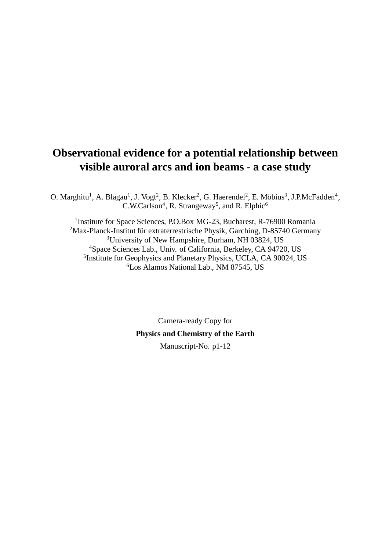# **Observational evidence for a potential relationship between visible auroral arcs and ion beams - a case study**

O. Marghitu<sup>1</sup>, A. Blagau<sup>1</sup>, J. Vogt<sup>2</sup>, B. Klecker<sup>2</sup>, G. Haerendel<sup>2</sup>, E. Möbius<sup>3</sup>, J.P.McFadden<sup>4</sup>, C.W.Carlson<sup>4</sup>, R. Strangeway<sup>5</sup>, and R. Elphic<sup>6</sup>

<sup>1</sup>Institute for Space Sciences, P.O.Box MG-23, Bucharest, R-76900 Romania Max-Planck-Institut für extraterrestrische Physik, Garching, D-85740 Germany University of New Hampshire, Durham, NH 03824, US Space Sciences Lab., Univ. of California, Berkeley, CA 94720, US <sup>5</sup> Institute for Geophysics and Planetary Physics, UCLA, CA 90024, US Los Alamos National Lab., NM 87545, US

> Camera-ready Copy for **Physics and Chemistry of the Earth** Manuscript-No. p1-12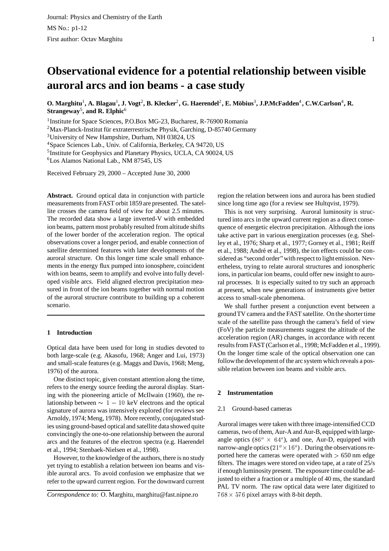# **Observational evidence for a potential relationship between visible auroral arcs and ion beams - a case study**

O. Marghitu $^1$ , A. Blagau $^1$ , J. Vogt $^2$ , B. Klecker $^2$ , G. Haerendel $^2$ , E. Möbius $^3$ , J.P.McFadden $^4$ , C.W.Carlson $^4$ , R. **Strangeway**<sup>5</sup> **, and R. Elphic**<sup>6</sup>

<sup>1</sup> Institute for Space Sciences, P.O.Box MG-23, Bucharest, R-76900 Romania

 $2$ Max-Planck-Institut für extraterrestrische Physik, Garching, D-85740 Germany

<sup>3</sup>University of New Hampshire, Durham, NH 03824, US

<sup>4</sup>Space Sciences Lab., Univ. of California, Berkeley, CA 94720, US

<sup>5</sup>Institute for Geophysics and Planetary Physics, UCLA, CA 90024, US

<sup>6</sup>Los Alamos National Lab., NM 87545, US

Received February 29, 2000 – Accepted June 30, 2000

**Abstract.** Ground optical data in conjunction with particle measurements from FAST orbit 1859 are presented. The satellite crosses the camera field of view for about 2.5 minutes. The recorded data show a large inverted-V with embedded ion beams, pattern most probably resulted from altitude shifts of the lower border of the acceleration region. The optical observations cover a longer period, and enable connection of satellite determined features with later developments of the auroral structure. On this longer time scale small enhancements in the energy flux pumped into ionosphere, coincident with ion beams, seem to amplify and evolve into fully developed visible arcs. Field aligned electron precipitation measured in front of the ion beams together with normal motion of the auroral structure contribute to building up a coherent scenario.

# **1 Introduction**

Optical data have been used for long in studies devoted to both large-scale (e.g. Akasofu, 1968; Anger and Lui, 1973) and small-scale features (e.g. Maggs and Davis, 1968; Meng, 1976) of the aurora.

One distinct topic, given constant attention along the time, refers to the energy source feeding the auroral display. Starting with the pioneering article of McIlwain (1960), the relationship between  $\sim 1 - 10$  keV electrons and the optical signature of aurora was intensively explored (for reviews see Arnoldy, 1974; Meng, 1978). More recently, conjugated studies using ground-based optical and satellite data showed quite convincingly the one-to-one relationship between the auroral arcs and the features of the electron spectra (e.g. Haerendel et al., 1994; Stenbaek-Nielsen et al., 1998).

However, to the knowledge of the authors, there is no study yet trying to establish a relation between ion beams and visible auroral arcs. To avoid confusion we emphasize that we refer to the upward current region. For the downward current

*Correspondence to:* O. Marghitu, marghitu@fast.nipne.ro

region the relation between ions and aurora has been studied since long time ago (for a review see Hultqvist, 1979).

This is not very surprising. Auroral luminosity is structured into arcs in the upward current region as a direct consequence of energetic electron precipitation. Although the ions take active part in various energization processes (e.g. Shelley et al., 1976; Sharp et al., 1977; Gorney et al., 1981; Reiff et al., 1988; André et al., 1998), the ion effects could be considered as "second order" with respect to light emission. Nevertheless, trying to relate auroral structures and ionospheric ions, in particular ion beams, could offer new insight to auroral processes. It is especially suited to try such an approach at present, when new generations of instruments give better access to small-scale phenomena.

We shall further present a conjunction event between a ground TV camera and the FAST satellite. On the shorter time scale of the satellite pass through the camera's field of view (FoV) the particle measurements suggest the altitude of the acceleration region (AR) changes, in accordance with recent results from FAST (Carlson et al., 1998; McFadden et al., 1999). On the longer time scale of the optical observation one can followthe development of the arc system which reveals a possible relation between ion beams and visible arcs.

# **2 Instrumentation**

# 2.1 Ground-based cameras

Auroral images were taken with three image-intensified CCD cameras, two of them, Aur-A and Aur-B, equipped with largeangle optics (86 $^{\circ}$   $\times$  64 $^{\circ}$ ), and one, Aur-D, equipped with narrow-angle optics  $(21^\circ \times 16^\circ)$ . During the observations reported here the cameras were operated with  $> 650$  nm edge filters. The images were stored on video tape, at a rate of 25/s if enough luminosity present. The exposure time could be adjusted to either a fraction or a multiple of 40 ms, the standard PAL TV norm. The raw optical data were later digitized to  $768 \times 576$  pixel arrays with 8-bit depth.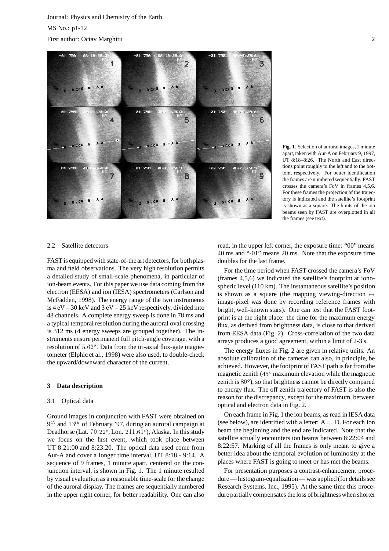

**Fig. 1.** Selection of auroral images, 1 minute apart, taken with Aur-A on February 9, 1997, UT 8:18–8:26. The North and East directions point roughly to the left and to the bottom, respectively. For better identification the frames are numbered sequentially. FAST crosses the camera's FoV in frames 4,5,6. For these frames the projection of the trajectory is indicated and the satellite's footprint is shown as a square. The limits of the ion beams seen by FAST are overplotted in all the frames (see text).

## 2.2 Satellite detectors

FAST is equipped with state-of-the art detectors, for bothplasma and field observations. The very high resolution permits a detailed study of small-scale phenomena, in particular of ion-beam events. For this paper we use data coming from the electron (EESA) and ion (IESA) spectrometers (Carlson and McFadden, 1998). The energy range of the two instruments is  $4 \text{ eV} - 30 \text{ keV}$  and  $3 \text{ eV} - 25 \text{ keV}$  respectively, divided into 48 channels. A complete energy sweep is done in 78 ms and a typical temporal resolution during the auroral oval crossing is 312 ms (4 energy sweeps are grouped together). The instruments ensure permanent full pitch-angle coverage, with a resolution of  $5.62^\circ$ . Data from the tri-axial flux-gate magnetometer (Elphic et al., 1998) were also used, to double-check the upward/downward character of the current.

## **3 Data description**

#### 3.1 Optical data

Ground images in conjunction with FAST were obtained on  $9<sup>th</sup>$  and  $13<sup>th</sup>$  of February '97, during an auroral campaign at Deadhorse (Lat.  $70.22^{\circ}$ , Lon.  $211.61^{\circ}$ ), Alaska. In this study we focus on the first event, which took place between UT 8:21:00 and 8:23:20. The optical data used come from Aur-A and cover a longer time interval, UT 8:18 - 9:14. A sequence of 9 frames, 1 minute apart, centered on the conjunction interval, is shown in Fig. 1. The 1 minute resulted by visual evaluation as a reasonable time-scale for the change of the auroral display. The frames are sequentially numbered in the upper right corner, for better readability. One can also read, in the upper left corner, the exposure time: "00" means 40 ms and "-01" means 20 ms. Note that the exposure time doubles for the last frame.

For the time period when FAST crossed the camera's FoV (frames 4,5,6) we indicated the satellite's footprint at ionospheric level (110 km). The instantaneous satellite's position is shown as a square (the mapping viewing-direction  $\leftrightarrow$ image-pixel was done by recording reference frames with bright, well-known stars). One can test that the FAST footprint is at the right place: the time for the maximum energy flux, as derived from brightness data, is close to that derived from EESA data (Fig. 2). Cross-correlation of the two data arrays produces a good agreement, within a limit of 2-3 s.

The energy fluxes in Fig. 2 are given in relative units. An absolute calibration of the cameras can also, in principle, be achieved. However, the footprint of FAST path is far from the magnetic zenith  $(45° \text{ maximum elevation while the magnetic})$ zenith is  $80^\circ$ ), so that brightness cannot be directly compared to energy flux. The off zenith trajectory of FAST is also the reason for the discrepancy, except for the maximum, between optical and electron data in Fig. 2.

On each frame in Fig. 1 the ion beams, as read in IESA data (see below), are identified with a letter: A ... D. For each ion beam the beginning and the end are indicated. Note that the satellite actually encounters ion beams between 8:22:04 and 8:22:57. Marking of all the frames is only meant to give a better idea about the temporal evolution of luminosity at the places where FAST is going to meet or has met the beams.

For presentation purposes a contrast-enhancement procedure— histogram-equalization— was applied (for details see Research Systems, Inc., 1995). At the same time this procedure partially compensates the loss of brightness when shorter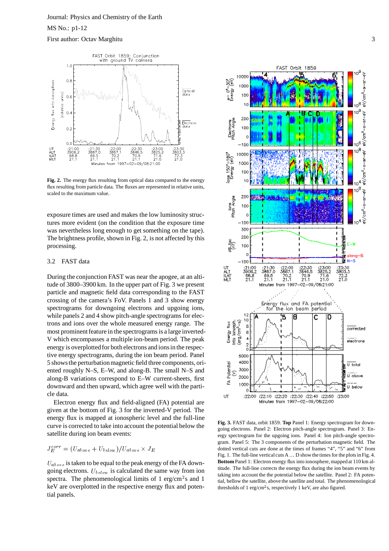

**Fig. 2.** The energy flux resulting from optical data compared to the energy flux resulting from particle data. The fluxes are represented in relative units, scaled to the maximum value.

exposure times are used and makes the low luminosity structures more evident (on the condition that the exposure time was nevertheless long enough to get something on the tape). The brightness profile, shown in Fig. 2, is not affected by this processing.

# 3.2 FAST data

During the conjunction FAST was near the apogee, at an altitude of 3800–3900 km. In the upper part of Fig. 3 we present particle and magnetic field data corresponding to the FAST crossing of the camera's FoV. Panels 1 and 3 show energy spectrograms for downgoing electrons and upgoing ions, while panels 2 and 4 show pitch-angle spectrograms for electrons and ions over the whole measured energy range. The most prominent feature in the spectrograms is a large inverted-V which encompasses a multiple ion-beam period. The peak energy is overplottedfor both electrons and ionsin the respective energy spectrograms, during the ion beam period. Panel 5 showsthe perturbationmagnetic field three components, oriented roughly N–S, E–W, and along-B. The small N–S and along-B variations correspond to E–W current-sheets, first downward and then upward, which agree well with the particle data.

Electron energy flux and field-aligned (FA) potential are given at the bottom of Fig. 3 for the inverted-V period. The energy flux is mapped at ionospheric level and the full-line curve is corrected to take into account the potential below the satellite during ion beam events:

$$
J_E^{corr} = (U_{above} + U_{below})/U_{above} \times J_E
$$

 $U_{above}$  is taken to be equal to the peak energy of the FA downgoing electrons.  $U_{below}$  is calculated the same way from ion spectra. The phenomenological limits of 1 erg/cm<sup>2</sup>s and 1 keV are overplotted in the respective energy flux and potential panels.



**Fig. 3.** FAST data, orbit 1859. **Top** Panel 1: Energy spectrogram for downgoing electrons. Panel 2: Electron pitch-angle spectrogram. Panel 3: Energy spectrogram for the upgoing ions. Panel 4: Ion pitch-angle spectrogram. Panel 5: The 3 components of the perturbation magnetic field. The dotted vertical cuts are done at the times of frames "4", "5" and "6" from Fig. 1. The full-line vertical cuts  $A \dots D$  show the times for the plots in Fig. 4. **Bottom** Panel 1: Electron energy flux into ionosphere, mappedat 110 km altitude. The full-line corrects the energy flux during the ion beam events by taking into account the the potential below the satellite. Panel 2: FA potential, bellow the satellite, above the satellite and total. The phenomenological thresholds of 1 erg/cm<sup>2</sup>s, respectively 1 keV, are also figured.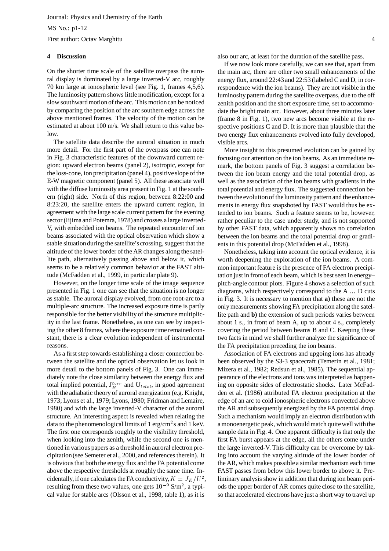#### **4 Discussion**

On the shorter time scale of the satellite overpass the auroral display is dominated by a large inverted-V arc, roughly 70 km large at ionospheric level (see Fig. 1, frames 4,5,6). The luminosity pattern shows little modification, except for a slow southward motion of the arc. This motion can be noticed by comparing the position of the arc southern edge across the above mentioned frames. The velocity of the motion can be estimated at about 100 m/s. We shall return to this value below.

The satellite data describe the auroral situation in much more detail. For the first part of the overpass one can note in Fig. 3 characteristic features of the downward current region: upward electron beams (panel 2), isotropic, except for the loss-cone, ion precipitation (panel 4), positive slope of the E-W magnetic component (panel 5). All these associate well with the diffuse luminosity area present in Fig. 1 at the southern (right) side. North of this region, between 8:22:00 and 8:23:20, the satellite enters the upward current region, in agreement with the large scale current pattern for the evening sector (Iijima and Potemra, 1978) and crosses a large inverted-V, with embedded ion beams. The repeated encounter of ion beams associated with the optical observation which show a stable situationduring the satellite's crossing, suggest that the altitude of the lower border of the AR changes along the satellite path, alternatively passing above and below it, which seems to be a relatively common behavior at the FAST altitude (McFadden et al., 1999, in particular plate 9).

However, on the longer time scale of the image sequence presented in Fig. 1 one can see that the situation is no longer as stable. The auroral display evolved, from one root-arc to a multiple-arc structure. The increased exposure time is partly responsible for the better visibility of the structure multiplicity in the last frame. Nonetheless, as one can see by inspecting the other 8 frames, where the exposure time remained constant, there is a clear evolution independent of instrumental reasons.

As a first step towards establishing a closer connection between the satellite and the optical observation let us look in more detail to the bottom panels of Fig. 3. One can immediately note the close similarity between the energy flux and total implied potential,  $J_F^{corr}$  and  $U_{total}$ , in good agreement with the adiabatic theory of auroral energization (e.g. Knight, 1973; Lyons et al., 1979; Lyons, 1980; Fridman and Lemaire, 1980) and with the large inverted-V character of the auroral structure. An interesting aspect is revealed when relating the data to the phenomenological limits of 1 erg/cm<sup>2</sup>s and 1 keV. The first one corresponds roughly to the visibility threshold, when looking into the zenith, while the second one is mentioned in various papers as a threshold in auroral electron precipitation(see Semeter et al., 2000, and references therein). It is obvious that both the energy flux and the FA potential come above the respective thresholds at roughly the same time. Incidentally, if one calculates the FA conductivity,  $K = J_E/U^2$ , lin resulting from these two values, one gets  $10^{-9}$  S/m<sup>2</sup>, a typical value for stable arcs (Olsson et al., 1998, table 1), as it is

also our arc, at least for the duration of the satellite pass.

If we now look more carefully, we can see that, apart from the main arc, there are other two small enhancements of the energy flux, around 22:43 and 22:53 (labeled C and D, in correspondence with the ion beams). They are not visible in the luminosity pattern during the satellite overpass, due to the off zenith position and the short exposure time, set to accommodate the bright main arc. However, about three minutes later (frame 8 in Fig. 1), two new arcs become visible at the respective positions C and D. It is more than plausible that the two energy flux enhancements evolved into fully developed, visible arcs.

More insight to this presumed evolution can be gained by focusing our attention on the ion beams. As an immediate remark, the bottom panels of Fig. 3 suggest a correlation between the ion beam energy and the total potential drop, as well as the association of the ion beams with gradients in the total potential and energy flux. The suggested connection between the evolution of the luminosity pattern and the enhancements in energy flux snapshoted by FAST would thus be extended to ion beams. Such a feature seems to be, however, rather peculiar to the case under study, and is not supported by other FAST data, which apparently shows no correlation between the ion beams and the total potential drop or gradients in this potential drop (McFadden et al., 1998).

Nonetheless, taking into account the optical evidence, it is worth deepening the exploration of the ion beams. A common important feature is the presence of FA electron precipitation just in front of each beam, which is best seen in energy– pitch-angle contour plots. Figure 4 shows a selection of such diagrams, which respectively correspond to the A ... D cuts in Fig. 3. It is necessary to mention that **a)** these are not the only measurements showing FA precipitation along the satellite path and **b)** the extension of such periods varies between about 1 s., in front of beam A, up to about 4 s., completely covering the period between beams B and C. Keeping these two facts in mind we shall further analyze the significance of the FA precipitation preceding the ion beams.

 $\alpha^2$ , liminary analysis show in addition that during ion beam peri-Association of FA electrons and upgoing ions has already been observed by the S3-3 spacecraft (Temerin et al., 1981; Mizera et al., 1982; Redsun et al., 1985). The sequential appearance of the electrons and ions was interpreted as happening on opposite sides of electrostatic shocks. Later McFadden et al. (1986) attributed FA electron precipitation at the edge of an arc to cold ionospheric electrons convected above the AR and subsequently energized by the FA potential drop. Such a mechanism would imply an electron distribution with a monoenergetic peak, which wouldmatch quite well with the sample data in Fig. 4. One apparent difficulty is that only the first FA burst appears at the edge, all the others come under the large inverted-V. This difficulty can be overcome by taking into account the varying altitude of the lower border of the AR, which makes possible a similar mechanism each time FAST passes from below this lower border to above it. Preods the upper border of AR comes quite close to the satellite, so that accelerated electrons have just a short way to travel up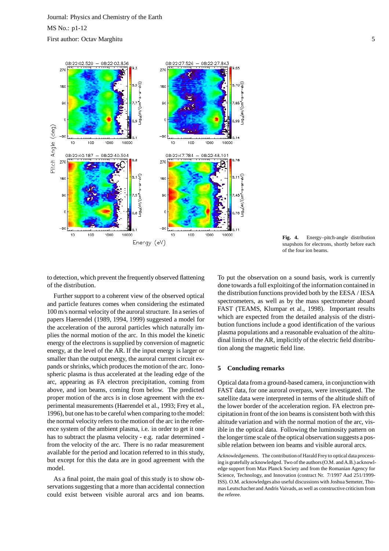

**Fig. 4.** Energy–pitch-angle distribution snapshots for electrons, shortly before each of the four ion beams.

to detection, which prevent the frequently observed flattening of the distribution.

Further support to a coherent view of the observed optical and particle features comes when considering the estimated 100 m/s normal velocity of the auroral structure. In a series of papers Haerendel (1989, 1994, 1999) suggested a model for the acceleration of the auroral particles which naturally implies the normal motion of the arc. In this model the kinetic energy of the electrons is supplied by conversion of magnetic energy, at the level of the AR. If the input energy is larger or smaller than the output energy, the auroral current circuit expands or shrinks, which produces the motion of the arc. Ionospheric plasma is thus accelerated at the leading edge of the arc, appearing as FA electron precipitation, coming from above, and ion beams, coming from below. The predicted proper motion of the arcs is in close agreement with the experimental measurements (Haerendel et al., 1993; Frey et al., 1996), but one hasto be careful when comparing to the model: the normal velocity refers to the motion of the arc in the reference system of the ambient plasma, i.e. in order to get it one has to subtract the plasma velocity - e.g. radar determined from the velocity of the arc. There is no radar measurement available for the period and location referred to in this study, but except for this the data are in good agreement with the model.

As a final point, the main goal of this study is to show observations suggesting that a more than accidental connection could exist between visible auroral arcs and ion beams. To put the observation on a sound basis, work is currently done towards a full exploiting of the information contained in the distribution functions provided both by the EESA / IESA spectrometers, as well as by the mass spectrometer aboard FAST (TEAMS, Klumpar et al., 1998). Important results which are expected from the detailed analysis of the distribution functions include a good identification of the various plasma populations and a reasonable evaluation of the altitudinal limits of the AR, implicitly of the electric field distribution along the magnetic field line.

# **5 Concluding remarks**

Optical data froma ground-based camera, in conjunctionwith FAST data, for one auroral overpass, were investigated. The satellite data were interpreted in terms of the altitude shift of the lower border of the acceleration region. FA electron precipitationin front of the ion beams is consistent both with this altitude variation and with the normal motion of the arc, visible in the optical data. Following the luminosity pattern on the longer time scale of the optical observation suggests a possible relation between ion beams and visible auroral arcs.

*Acknowledgements.* The contributionof Harald Frey to optical data processing is gratefully acknowledged. Two of the authors (O.M. and A.B.) acknowledge support from Max Planck Society and from the Romanian Agency for Science, Technology, and Innovation (contract Nr. 7/1997 Aad 251/1999- ISS). O.M. acknowledges also useful discussions with Joshua Semeter, Thomas Leutschacher and Andris Vaivads, as well as constructive criticism from the referee.